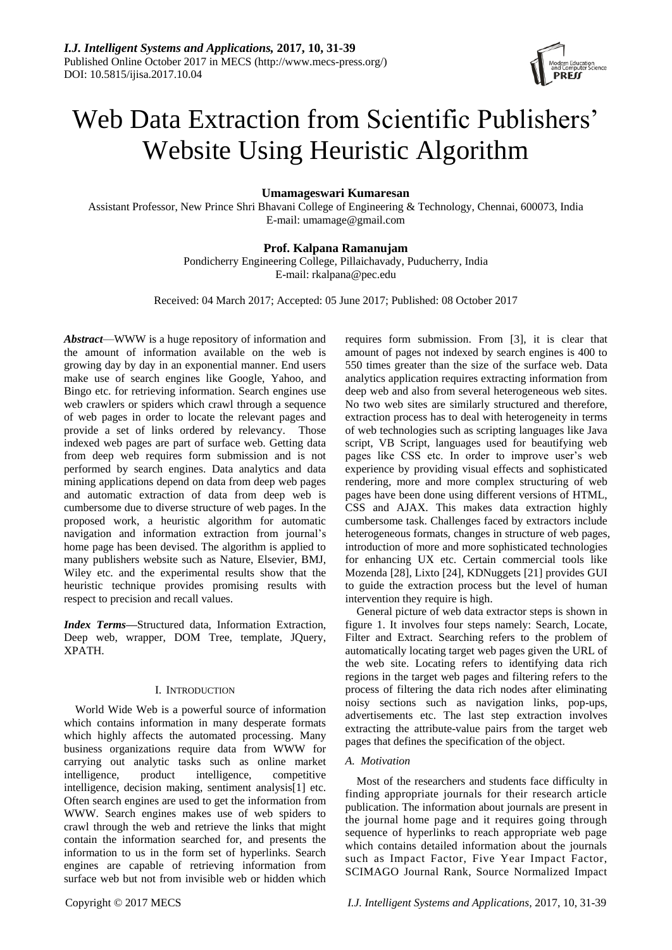

# Web Data Extraction from Scientific Publishers' Website Using Heuristic Algorithm

# **Umamageswari Kumaresan**

Assistant Professor, New Prince Shri Bhavani College of Engineering & Technology, Chennai, 600073, India E-mail: umamage@gmail.com

# **Prof. Kalpana Ramanujam**

Pondicherry Engineering College, Pillaichavady, Puducherry, India E-mail: rkalpana@pec.edu

Received: 04 March 2017; Accepted: 05 June 2017; Published: 08 October 2017

*Abstract*—WWW is a huge repository of information and the amount of information available on the web is growing day by day in an exponential manner. End users make use of search engines like Google, Yahoo, and Bingo etc. for retrieving information. Search engines use web crawlers or spiders which crawl through a sequence of web pages in order to locate the relevant pages and provide a set of links ordered by relevancy. Those indexed web pages are part of surface web. Getting data from deep web requires form submission and is not performed by search engines. Data analytics and data mining applications depend on data from deep web pages and automatic extraction of data from deep web is cumbersome due to diverse structure of web pages. In the proposed work, a heuristic algorithm for automatic navigation and information extraction from journal's home page has been devised. The algorithm is applied to many publishers website such as Nature, Elsevier, BMJ, Wiley etc. and the experimental results show that the heuristic technique provides promising results with respect to precision and recall values.

*Index Terms***—**Structured data, Information Extraction, Deep web, wrapper, DOM Tree, template, JQuery, XPATH.

## I. INTRODUCTION

World Wide Web is a powerful source of information which contains information in many desperate formats which highly affects the automated processing. Many business organizations require data from WWW for carrying out analytic tasks such as online market intelligence, product intelligence, competitive intelligence, decision making, sentiment analysis[1] etc. Often search engines are used to get the information from WWW. Search engines makes use of web spiders to crawl through the web and retrieve the links that might contain the information searched for, and presents the information to us in the form set of hyperlinks. Search engines are capable of retrieving information from surface web but not from invisible web or hidden which requires form submission. From [3], it is clear that amount of pages not indexed by search engines is 400 to 550 times greater than the size of the surface web. Data analytics application requires extracting information from deep web and also from several heterogeneous web sites. No two web sites are similarly structured and therefore, extraction process has to deal with heterogeneity in terms of web technologies such as scripting languages like Java script, VB Script, languages used for beautifying web pages like CSS etc. In order to improve user's web experience by providing visual effects and sophisticated rendering, more and more complex structuring of web pages have been done using different versions of HTML, CSS and AJAX. This makes data extraction highly cumbersome task. Challenges faced by extractors include heterogeneous formats, changes in structure of web pages, introduction of more and more sophisticated technologies for enhancing UX etc. Certain commercial tools like Mozenda [28], Lixto [24], KDNuggets [21] provides GUI to guide the extraction process but the level of human intervention they require is high.

General picture of web data extractor steps is shown in figure 1. It involves four steps namely: Search, Locate, Filter and Extract. Searching refers to the problem of automatically locating target web pages given the URL of the web site. Locating refers to identifying data rich regions in the target web pages and filtering refers to the process of filtering the data rich nodes after eliminating noisy sections such as navigation links, pop-ups, advertisements etc. The last step extraction involves extracting the attribute-value pairs from the target web pages that defines the specification of the object.

## *A. Motivation*

Most of the researchers and students face difficulty in finding appropriate journals for their research article publication. The information about journals are present in the journal home page and it requires going through sequence of hyperlinks to reach appropriate web page which contains detailed information about the journals such as Impact Factor, Five Year Impact Factor, SCIMAGO Journal Rank, Source Normalized Impact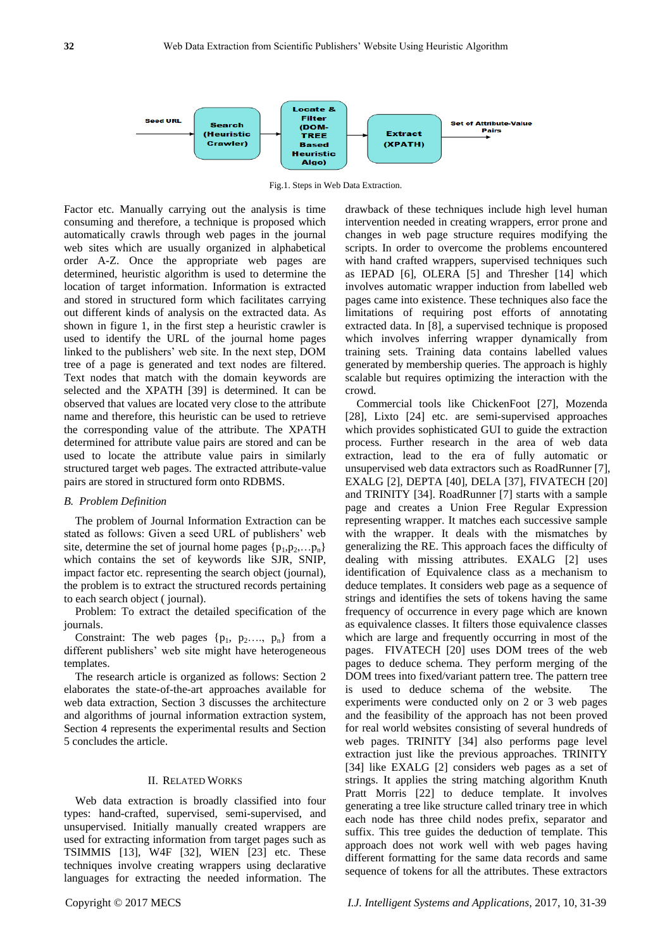

Fig.1. Steps in Web Data Extraction.

Factor etc. Manually carrying out the analysis is time consuming and therefore, a technique is proposed which automatically crawls through web pages in the journal web sites which are usually organized in alphabetical order A-Z. Once the appropriate web pages are determined, heuristic algorithm is used to determine the location of target information. Information is extracted and stored in structured form which facilitates carrying out different kinds of analysis on the extracted data. As shown in figure 1, in the first step a heuristic crawler is used to identify the URL of the journal home pages linked to the publishers' web site. In the next step, DOM tree of a page is generated and text nodes are filtered. Text nodes that match with the domain keywords are selected and the XPATH [39] is determined. It can be observed that values are located very close to the attribute name and therefore, this heuristic can be used to retrieve the corresponding value of the attribute. The XPATH determined for attribute value pairs are stored and can be used to locate the attribute value pairs in similarly structured target web pages. The extracted attribute-value pairs are stored in structured form onto RDBMS.

#### *B. Problem Definition*

The problem of Journal Information Extraction can be stated as follows: Given a seed URL of publishers' web site, determine the set of journal home pages  $\{p_1, p_2, \ldots, p_n\}$ which contains the set of keywords like SJR, SNIP, impact factor etc. representing the search object (journal), the problem is to extract the structured records pertaining to each search object ( journal).

Problem: To extract the detailed specification of the journals.

Constraint: The web pages  $\{p_1, p_2, ..., p_n\}$  from a different publishers' web site might have heterogeneous templates.

The research article is organized as follows: Section 2 elaborates the state-of-the-art approaches available for web data extraction, Section 3 discusses the architecture and algorithms of journal information extraction system, Section 4 represents the experimental results and Section 5 concludes the article.

#### II. RELATED WORKS

Web data extraction is broadly classified into four types: hand-crafted, supervised, semi-supervised, and unsupervised. Initially manually created wrappers are used for extracting information from target pages such as TSIMMIS [13], W4F [32], WIEN [23] etc. These techniques involve creating wrappers using declarative languages for extracting the needed information. The drawback of these techniques include high level human intervention needed in creating wrappers, error prone and changes in web page structure requires modifying the scripts. In order to overcome the problems encountered with hand crafted wrappers, supervised techniques such as IEPAD [6], OLERA [5] and Thresher [14] which involves automatic wrapper induction from labelled web pages came into existence. These techniques also face the limitations of requiring post efforts of annotating extracted data. In [8], a supervised technique is proposed which involves inferring wrapper dynamically from training sets. Training data contains labelled values generated by membership queries. The approach is highly scalable but requires optimizing the interaction with the crowd.

Commercial tools like ChickenFoot [27], Mozenda [28], Lixto [24] etc. are semi-supervised approaches which provides sophisticated GUI to guide the extraction process. Further research in the area of web data extraction, lead to the era of fully automatic or unsupervised web data extractors such as RoadRunner [7], EXALG [2], DEPTA [40], DELA [37], FIVATECH [20] and TRINITY [34]. RoadRunner [7] starts with a sample page and creates a Union Free Regular Expression representing wrapper. It matches each successive sample with the wrapper. It deals with the mismatches by generalizing the RE. This approach faces the difficulty of dealing with missing attributes. EXALG [2] uses identification of Equivalence class as a mechanism to deduce templates. It considers web page as a sequence of strings and identifies the sets of tokens having the same frequency of occurrence in every page which are known as equivalence classes. It filters those equivalence classes which are large and frequently occurring in most of the pages. FIVATECH [20] uses DOM trees of the web pages to deduce schema. They perform merging of the DOM trees into fixed/variant pattern tree. The pattern tree is used to deduce schema of the website. The experiments were conducted only on 2 or 3 web pages and the feasibility of the approach has not been proved for real world websites consisting of several hundreds of web pages. TRINITY [34] also performs page level extraction just like the previous approaches. TRINITY [34] like EXALG [2] considers web pages as a set of strings. It applies the string matching algorithm Knuth Pratt Morris [22] to deduce template. It involves generating a tree like structure called trinary tree in which each node has three child nodes prefix, separator and suffix. This tree guides the deduction of template. This approach does not work well with web pages having different formatting for the same data records and same sequence of tokens for all the attributes. These extractors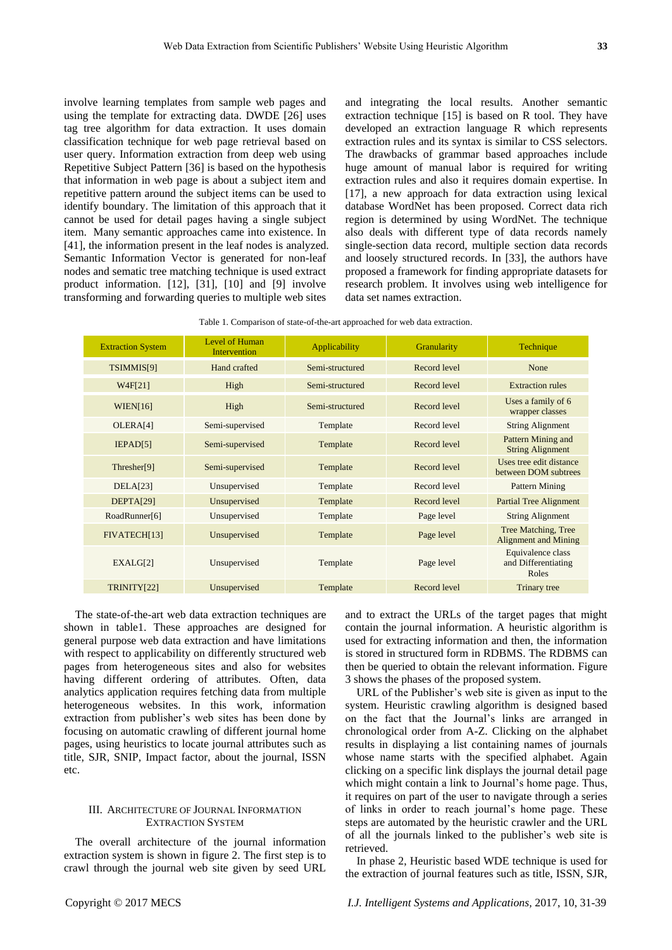involve learning templates from sample web pages and using the template for extracting data. DWDE [26] uses tag tree algorithm for data extraction. It uses domain classification technique for web page retrieval based on user query. Information extraction from deep web using Repetitive Subject Pattern [36] is based on the hypothesis that information in web page is about a subject item and repetitive pattern around the subject items can be used to identify boundary. The limitation of this approach that it cannot be used for detail pages having a single subject item. Many semantic approaches came into existence. In [41], the information present in the leaf nodes is analyzed. Semantic Information Vector is generated for non-leaf nodes and sematic tree matching technique is used extract product information. [12], [31], [10] and [9] involve transforming and forwarding queries to multiple web sites

and integrating the local results. Another semantic extraction technique [15] is based on R tool. They have developed an extraction language R which represents extraction rules and its syntax is similar to CSS selectors. The drawbacks of grammar based approaches include huge amount of manual labor is required for writing extraction rules and also it requires domain expertise. In [17], a new approach for data extraction using lexical database WordNet has been proposed. Correct data rich region is determined by using WordNet. The technique also deals with different type of data records namely single-section data record, multiple section data records and loosely structured records. In [33], the authors have proposed a framework for finding appropriate datasets for research problem. It involves using web intelligence for data set names extraction.

| Table 1. Comparison of state-of-the-art approached for web data extraction. |  |  |
|-----------------------------------------------------------------------------|--|--|
|-----------------------------------------------------------------------------|--|--|

| <b>Extraction System</b> | Level of Human<br><b>Intervention</b> | Applicability   | Granularity  | Technique                                          |
|--------------------------|---------------------------------------|-----------------|--------------|----------------------------------------------------|
| TSIMMIS[9]               | Hand crafted                          | Semi-structured | Record level | None                                               |
| W4F[21]                  | High                                  | Semi-structured | Record level | <b>Extraction rules</b>                            |
| WIENT16                  | High                                  | Semi-structured | Record level | Uses a family of 6<br>wrapper classes              |
| OLERA[4]                 | Semi-supervised                       | Template        | Record level | <b>String Alignment</b>                            |
| IEPAD[5]                 | Semi-supervised                       | Template        | Record level | Pattern Mining and<br><b>String Alignment</b>      |
| Thresher[9]              | Semi-supervised                       | Template        | Record level | Uses tree edit distance<br>between DOM subtrees    |
| DELA[23]                 | Unsupervised                          | Template        | Record level | Pattern Mining                                     |
| DEFTA[29]                | Unsupervised                          | Template        | Record level | <b>Partial Tree Alignment</b>                      |
| RoadRunner[6]            | Unsupervised                          | Template        | Page level   | <b>String Alignment</b>                            |
| FIVATECH[13]             | Unsupervised                          | Template        | Page level   | Tree Matching, Tree<br><b>Alignment and Mining</b> |
| EXALG[2]                 | Unsupervised                          | Template        | Page level   | Equivalence class<br>and Differentiating<br>Roles  |
| TRINITY[22]              | Unsupervised                          | Template        | Record level | Trinary tree                                       |

The state-of-the-art web data extraction techniques are shown in table1. These approaches are designed for general purpose web data extraction and have limitations with respect to applicability on differently structured web pages from heterogeneous sites and also for websites having different ordering of attributes. Often, data analytics application requires fetching data from multiple heterogeneous websites. In this work, information extraction from publisher's web sites has been done by focusing on automatic crawling of different journal home pages, using heuristics to locate journal attributes such as title, SJR, SNIP, Impact factor, about the journal, ISSN etc.

# III. ARCHITECTURE OF JOURNAL INFORMATION EXTRACTION SYSTEM

The overall architecture of the journal information extraction system is shown in figure 2. The first step is to crawl through the journal web site given by seed URL

and to extract the URLs of the target pages that might contain the journal information. A heuristic algorithm is used for extracting information and then, the information is stored in structured form in RDBMS. The RDBMS can then be queried to obtain the relevant information. Figure 3 shows the phases of the proposed system.

URL of the Publisher's web site is given as input to the system. Heuristic crawling algorithm is designed based on the fact that the Journal's links are arranged in chronological order from A-Z. Clicking on the alphabet results in displaying a list containing names of journals whose name starts with the specified alphabet. Again clicking on a specific link displays the journal detail page which might contain a link to Journal's home page. Thus, it requires on part of the user to navigate through a series of links in order to reach journal's home page. These steps are automated by the heuristic crawler and the URL of all the journals linked to the publisher's web site is retrieved.

In phase 2, Heuristic based WDE technique is used for the extraction of journal features such as title, ISSN, SJR,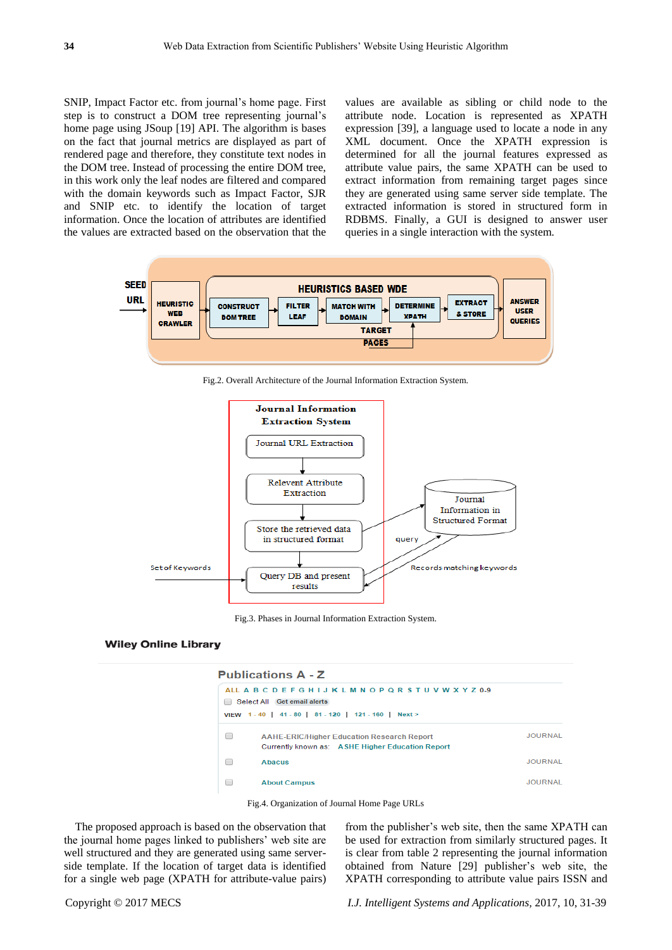SNIP, Impact Factor etc. from journal's home page. First step is to construct a DOM tree representing journal's home page using JSoup [19] API. The algorithm is bases on the fact that journal metrics are displayed as part of rendered page and therefore, they constitute text nodes in the DOM tree. Instead of processing the entire DOM tree, in this work only the leaf nodes are filtered and compared with the domain keywords such as Impact Factor, SJR and SNIP etc. to identify the location of target information. Once the location of attributes are identified the values are extracted based on the observation that the

values are available as sibling or child node to the attribute node. Location is represented as XPATH expression [39], a language used to locate a node in any XML document. Once the XPATH expression is determined for all the journal features expressed as attribute value pairs, the same XPATH can be used to extract information from remaining target pages since they are generated using same server side template. The extracted information is stored in structured form in RDBMS. Finally, a GUI is designed to answer user queries in a single interaction with the system.



Fig.2. Overall Architecture of the Journal Information Extraction System.



Fig.3. Phases in Journal Information Extraction System.

#### **Wiley Online Library**

## **Publications A - Z**

|   | ALL A B C D E F G H I J K L M N O P Q R S T U V W X Y Z 0-9<br>Select All Get email alerts<br>VIEW 1-40   41-80   81-120   121-160   Next> |                |
|---|--------------------------------------------------------------------------------------------------------------------------------------------|----------------|
| ▬ | <b>AAHE-ERIC/Higher Education Research Report</b><br>Currently known as: ASHE Higher Education Report                                      | <b>JOURNAL</b> |
|   | <b>Abacus</b>                                                                                                                              | <b>JOURNAL</b> |
|   | <b>About Campus</b>                                                                                                                        | JOURNAL        |



The proposed approach is based on the observation that the journal home pages linked to publishers' web site are well structured and they are generated using same serverside template. If the location of target data is identified for a single web page (XPATH for attribute-value pairs) from the publisher's web site, then the same XPATH can be used for extraction from similarly structured pages. It is clear from table 2 representing the journal information obtained from Nature [29] publisher's web site, the XPATH corresponding to attribute value pairs ISSN and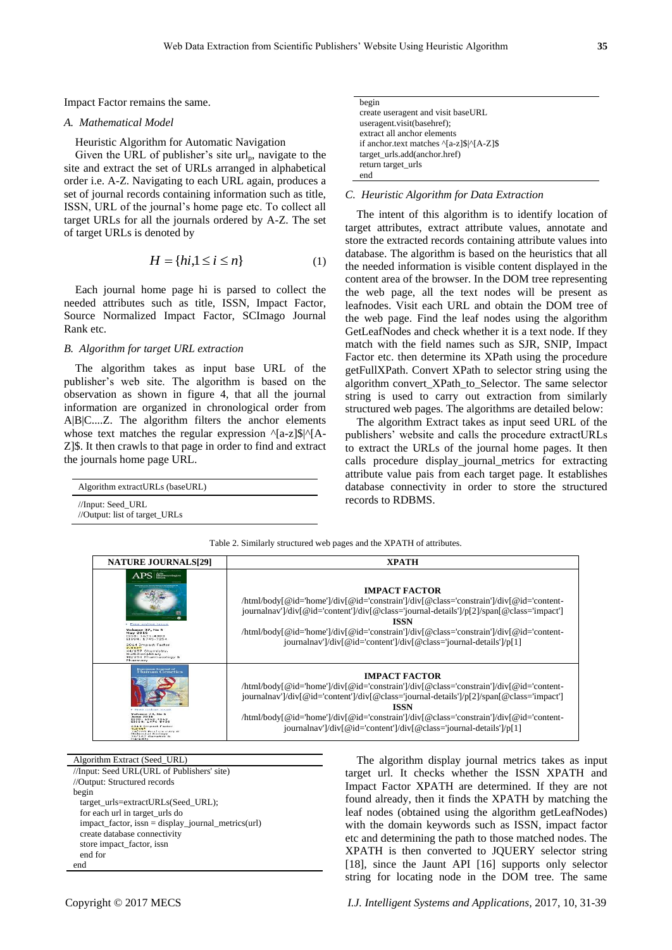Impact Factor remains the same.

#### *A. Mathematical Model*

Heuristic Algorithm for Automatic Navigation

Given the URL of publisher's site  $url_n$ , navigate to the site and extract the set of URLs arranged in alphabetical order i.e. A-Z. Navigating to each URL again, produces a set of journal records containing information such as title, ISSN, URL of the journal's home page etc. To collect all target URLs for all the journals ordered by A-Z. The set of target URLs is denoted by

$$
H = \{hi, 1 \le i \le n\}
$$
 (1)

Each journal home page hi is parsed to collect the needed attributes such as title, ISSN, Impact Factor, Source Normalized Impact Factor, SCImago Journal Rank etc.

## *B. Algorithm for target URL extraction*

The algorithm takes as input base URL of the publisher's web site. The algorithm is based on the observation as shown in figure 4, that all the journal information are organized in chronological order from A|B|C....Z. The algorithm filters the anchor elements whose text matches the regular expression  $\alpha$ [a-z]\$| $\alpha$ [A-Z]\$. It then crawls to that page in order to find and extract the journals home page URL.

| Algorithm extractURLs (baseURL)                    |  |
|----------------------------------------------------|--|
| //Input: Seed URL<br>//Output: list of target_URLs |  |

| begin                                                                          |
|--------------------------------------------------------------------------------|
| create useragent and visit baseURL                                             |
| useragent.visit(basehref);                                                     |
| extract all anchor elements                                                    |
| if anchor.text matches $\frac{1}{8}$ $\frac{3}{8}$ $\frac{1}{4}$ $\frac{2}{8}$ |
| target_urls.add(anchor.href)                                                   |
| return target_urls                                                             |
| end                                                                            |
|                                                                                |

## *C. Heuristic Algorithm for Data Extraction*

The intent of this algorithm is to identify location of target attributes, extract attribute values, annotate and store the extracted records containing attribute values into database. The algorithm is based on the heuristics that all the needed information is visible content displayed in the content area of the browser. In the DOM tree representing the web page, all the text nodes will be present as leafnodes. Visit each URL and obtain the DOM tree of the web page. Find the leaf nodes using the algorithm GetLeafNodes and check whether it is a text node. If they match with the field names such as SJR, SNIP, Impact Factor etc. then determine its XPath using the procedure getFullXPath. Convert XPath to selector string using the algorithm convert\_XPath\_to\_Selector. The same selector string is used to carry out extraction from similarly structured web pages. The algorithms are detailed below:

The algorithm Extract takes as input seed URL of the publishers' website and calls the procedure extractURLs to extract the URLs of the journal home pages. It then calls procedure display\_journal\_metrics for extracting attribute value pais from each target page. It establishes database connectivity in order to store the structured records to RDBMS.

Table 2. Similarly structured web pages and the XPATH of attributes.

| <b>NATURE JOURNALS[29]</b>                                                                                                                                                                                                                                       | <b>XPATH</b>                                                                                                                                                                                                                                                                                                                                                                   |
|------------------------------------------------------------------------------------------------------------------------------------------------------------------------------------------------------------------------------------------------------------------|--------------------------------------------------------------------------------------------------------------------------------------------------------------------------------------------------------------------------------------------------------------------------------------------------------------------------------------------------------------------------------|
| <b>APS</b> Philosophy<br><b>Free online issue</b><br>Volume 37, No 5<br><b>May 2016</b><br>ISSN: 1671-4083<br>EISSN: 1745-7254<br>2014 Impact Factor<br>2.9126<br>44/157 Chemistry,<br>Multidisciplinary<br>90/254 Pharmacology &<br><b>Pharmacy</b>             | <b>IMPACT FACTOR</b><br>html/body[@id='home']/div[@id='constrain']/div[@class='constrain']/div[@id='content-<br>journalnav']/div[@id='content']/div[@class='journal-details']/p[2]/span[@class='impact']<br>ISSN<br>html/body[@id='home']/div[@id='constrain']/div[@class='constrain']/div[@id='content-<br>journalnav']/div[@id='content']/div[@class='journal-details']/p[1] |
| <b>European Journal of</b><br>Human Genetics<br>> Free online issue<br>Volume 24, No 5<br>June 2016<br>ISSN: 1010-4013<br>EISSN: 1470 5430<br>2014 Impact Factor<br>$4.848*$<br>ZIMORY Houstonington 20<br>Motorcular Business<br>36/167 Genetics G<br>Heredity. | <b>IMPACT FACTOR</b><br>html/body[@id='home']/div[@id='constrain']/div[@class='constrain']/div[@id='content-<br>journalnav']/div[@id='content']/div[@class='journal-details']/p[2]/span[@class='impact']<br>ISSN<br>html/body[@id='home']/div[@id='constrain']/div[@class='constrain']/div[@id='content-<br>journalnav' /div[@id='content' /div[@class='journal-details' /p[1] |

Algorithm Extract (Seed\_URL) //Input: Seed URL(URL of Publishers' site) //Output: Structured records begin target\_urls=extractURLs(Seed\_URL); for each url in target\_urls do impact\_factor, issn = display\_journal\_metrics(url) create database connectivity store impact\_factor, issn end for end

The algorithm display journal metrics takes as input target url. It checks whether the ISSN XPATH and Impact Factor XPATH are determined. If they are not found already, then it finds the XPATH by matching the leaf nodes (obtained using the algorithm getLeafNodes) with the domain keywords such as ISSN, impact factor etc and determining the path to those matched nodes. The XPATH is then converted to JQUERY selector string [18], since the Jaunt API [16] supports only selector string for locating node in the DOM tree. The same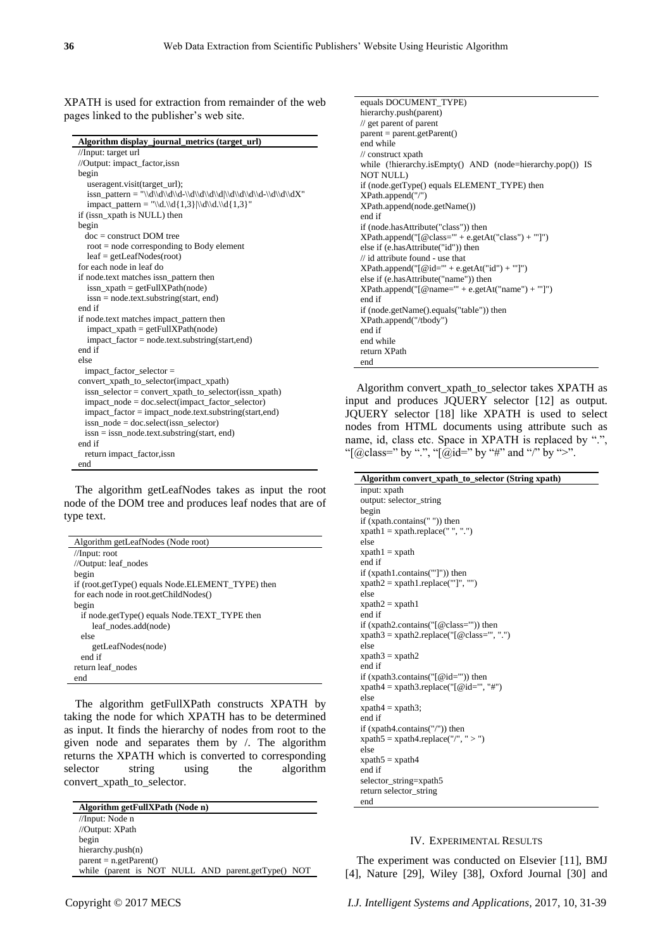begin

//Input: target url //Output: impact\_factor,issn

pages linked to the publisher's web site.

**Algorithm display\_journal\_metrics (target\_url)**

| begin                                                               |
|---------------------------------------------------------------------|
| useragent.visit(target_url);                                        |
|                                                                     |
| impact_pattern = "\\d.\\d{1,3} \\d\\d.\\d{1,3}"                     |
| if (issn_xpath is NULL) then                                        |
| begin                                                               |
| $doc = construct$ DOM tree                                          |
| $root = node corresponding to Body element$                         |
| $leaf = getLeafNodes(root)$                                         |
| for each node in leaf do                                            |
| if node.text matches issn_pattern then                              |
| $issn_x$ xpath = getFullXPath(node)                                 |
| $issn = node.text.substring(start, end)$                            |
| end if                                                              |
| if node text matches impact_pattern then                            |
| $impact_x$ path = getFullXPath(node)                                |
| $impact_factor = node.text.substring(start,end)$                    |
| end if                                                              |
| else                                                                |
| $impact_factor_selectron =$                                         |
| convert_xpath_to_selector(impact_xpath)                             |
| $issn$ <sub>_selector</sub> = convert_xpath_to_selector(issn_xpath) |
| impact_node = doc.select(impact_factor_selector)                    |
| impact_factor = impact_node.text.substring(start,end)               |
| $issn\_node = doc.select(issn\_selector)$                           |
| $issn = issn\_node.text.substring(start, end)$                      |
| end if                                                              |
| return impact_factor, issn                                          |
| end                                                                 |

XPATH is used for extraction from remainder of the web

The algorithm getLeafNodes takes as input the root node of the DOM tree and produces leaf nodes that are of type text.

| Algorithm getLeafNodes (Node root)                |
|---------------------------------------------------|
| //Input: root                                     |
| //Output: leaf_nodes                              |
| begin                                             |
| if (root.getType() equals Node.ELEMENT_TYPE) then |
| for each node in root.getChildNodes()             |
| begin                                             |
| if node.getType() equals Node.TEXT_TYPE then      |
| leaf nodes.add(node)                              |
| else                                              |
| getLeafNodes(node)                                |
| end if                                            |
| return leaf nodes                                 |
| end                                               |

The algorithm getFullXPath constructs XPATH by taking the node for which XPATH has to be determined as input. It finds the hierarchy of nodes from root to the given node and separates them by /. The algorithm returns the XPATH which is converted to corresponding selector string using the algorithm convert\_xpath\_to\_selector.

| Algorithm getFullXPath (Node n)                    |
|----------------------------------------------------|
| //Input: Node n                                    |
| //Output: XPath                                    |
| begin                                              |
| hierarchy.push(n)                                  |
| $parent = n.getParent()$                           |
| while (parent is NOT NULL AND parent.getType() NOT |

equals DOCUMENT\_TYPE) hierarchy.push(parent) // get parent of parent parent = parent.getParent() end while // construct xpath while (!hierarchy.isEmpty() AND (node=hierarchy.pop()) IS NOT NULL) if (node.getType() equals ELEMENT\_TYPE) then XPath.append("/") XPath.append(node.getName()) end if if (node.hasAttribute("class")) then  $XPath.append("[@class=" + e.getAt("class") + "']")$ else if (e.hasAttribute("id")) then // id attribute found - use that  $XPath.append("[@id=" + e.getAt("id") + "']")$ else if (e.hasAttribute("name")) then XPath.append("[@name='" + e.getAt("name") + "']") end if if (node.getName().equals("table")) then XPath.append("/tbody") end if end while return XPath end

Algorithm convert\_xpath\_to\_selector takes XPATH as input and produces JQUERY selector [12] as output. JQUERY selector [18] like XPATH is used to select nodes from HTML documents using attribute such as name, id, class etc. Space in XPATH is replaced by ".", "[@class=" by ".", "[@id=" by "#" and "/" by ">".

| Algorithm convert_xpath_to_selector (String xpath)  |
|-----------------------------------------------------|
| input: xpath                                        |
| output: selector_string                             |
| begin                                               |
| if (xpath.contains("")) then                        |
| $x$ path $1 = x$ path.replace(", ".")               |
| else                                                |
| $x$ path $1 = x$ path                               |
| end if                                              |
| if $(xpath1.contains("']")$ then                    |
| $x$ path $2 = x$ path $1$ .replace("']", "")        |
| else                                                |
| $x$ path $2 = x$ path $1$                           |
| end if                                              |
| if (xpath2.contains(" $[$ @class="")) then          |
| $x$ path $3 = x$ path $2$ .replace("[@class=", ".") |
| else                                                |
| $x$ path $3 = x$ path $2$                           |
| end if                                              |
| if (xpath3.contains(" $[@id="")$ ) then             |
| $x$ path $4 = x$ path $3$ .replace("[@id=", "#")    |
| else                                                |
| $x$ path $4 = x$ path $3$ ;                         |
| end if                                              |
| if $(xpath4.contains("/")$ ) then                   |
| $x$ path $5 = x$ path $4$ .replace("/", " > ")      |
| else                                                |
| $x$ path $5 = x$ path 4                             |
| end if                                              |
| selector_string=xpath5                              |
| return selector_string                              |
| end                                                 |

## IV. EXPERIMENTAL RESULTS

The experiment was conducted on Elsevier [11], BMJ [4], Nature [29], Wiley [38], Oxford Journal [30] and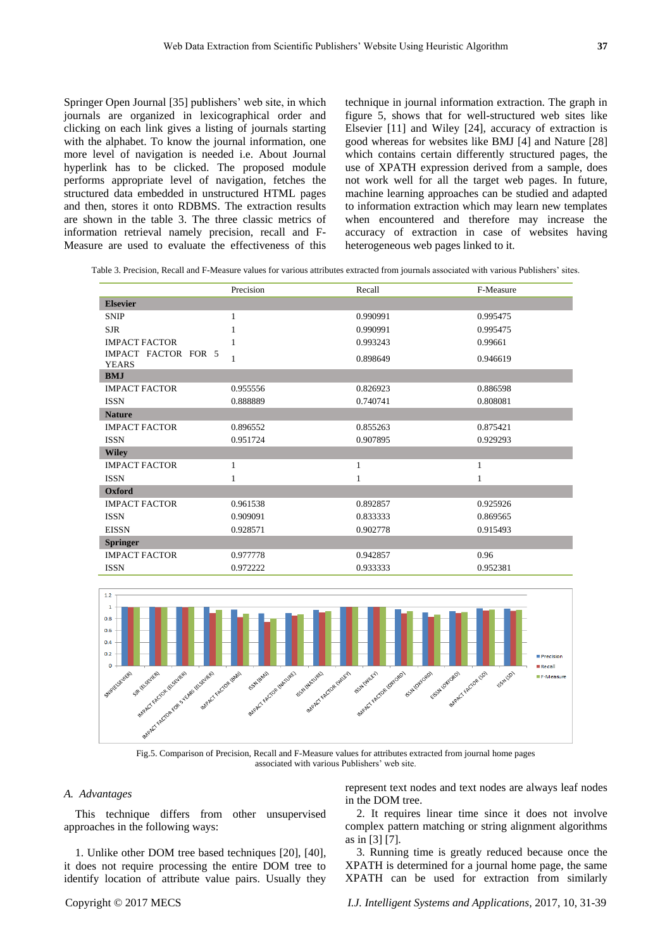Springer Open Journal [35] publishers' web site, in which journals are organized in lexicographical order and clicking on each link gives a listing of journals starting with the alphabet. To know the journal information, one more level of navigation is needed i.e. About Journal hyperlink has to be clicked. The proposed module performs appropriate level of navigation, fetches the structured data embedded in unstructured HTML pages and then, stores it onto RDBMS. The extraction results are shown in the table 3. The three classic metrics of information retrieval namely precision, recall and F-Measure are used to evaluate the effectiveness of this

technique in journal information extraction. The graph in figure 5, shows that for well-structured web sites like Elsevier [11] and Wiley [24], accuracy of extraction is good whereas for websites like BMJ [4] and Nature [28] which contains certain differently structured pages, the use of XPATH expression derived from a sample, does not work well for all the target web pages. In future, machine learning approaches can be studied and adapted to information extraction which may learn new templates when encountered and therefore may increase the accuracy of extraction in case of websites having heterogeneous web pages linked to it.

Table 3. Precision, Recall and F-Measure values for various attributes extracted from journals associated with various Publishers' sites.

|                                     | Precision | Recall   | F-Measure |
|-------------------------------------|-----------|----------|-----------|
| <b>Elsevier</b>                     |           |          |           |
| <b>SNIP</b>                         | 1         | 0.990991 | 0.995475  |
| <b>SJR</b>                          |           | 0.990991 | 0.995475  |
| <b>IMPACT FACTOR</b>                |           | 0.993243 | 0.99661   |
| IMPACT FACTOR FOR 5<br><b>YEARS</b> | 1         | 0.898649 | 0.946619  |
| <b>BMJ</b>                          |           |          |           |
| <b>IMPACT FACTOR</b>                | 0.955556  | 0.826923 | 0.886598  |
| <b>ISSN</b>                         | 0.888889  | 0.740741 | 0.808081  |
| <b>Nature</b>                       |           |          |           |
| <b>IMPACT FACTOR</b>                | 0.896552  | 0.855263 | 0.875421  |
| <b>ISSN</b>                         | 0.951724  | 0.907895 | 0.929293  |
| <b>Wiley</b>                        |           |          |           |
| <b>IMPACT FACTOR</b>                | 1         |          | 1         |
| <b>ISSN</b>                         |           |          | 1         |
| <b>Oxford</b>                       |           |          |           |
| <b>IMPACT FACTOR</b>                | 0.961538  | 0.892857 | 0.925926  |
| <b>ISSN</b>                         | 0.909091  | 0.833333 | 0.869565  |
| <b>EISSN</b>                        | 0.928571  | 0.902778 | 0.915493  |
| <b>Springer</b>                     |           |          |           |
| <b>IMPACT FACTOR</b>                | 0.977778  | 0.942857 | 0.96      |
| <b>ISSN</b>                         | 0.972222  | 0.933333 | 0.952381  |



Fig.5. Comparison of Precision, Recall and F-Measure values for attributes extracted from journal home pages associated with various Publishers' web site.

## *A. Advantages*

This technique differs from other unsupervised approaches in the following ways:

1. Unlike other DOM tree based techniques [20], [40], it does not require processing the entire DOM tree to identify location of attribute value pairs. Usually they represent text nodes and text nodes are always leaf nodes in the DOM tree.

2. It requires linear time since it does not involve complex pattern matching or string alignment algorithms as in [3] [7].

3. Running time is greatly reduced because once the XPATH is determined for a journal home page, the same XPATH can be used for extraction from similarly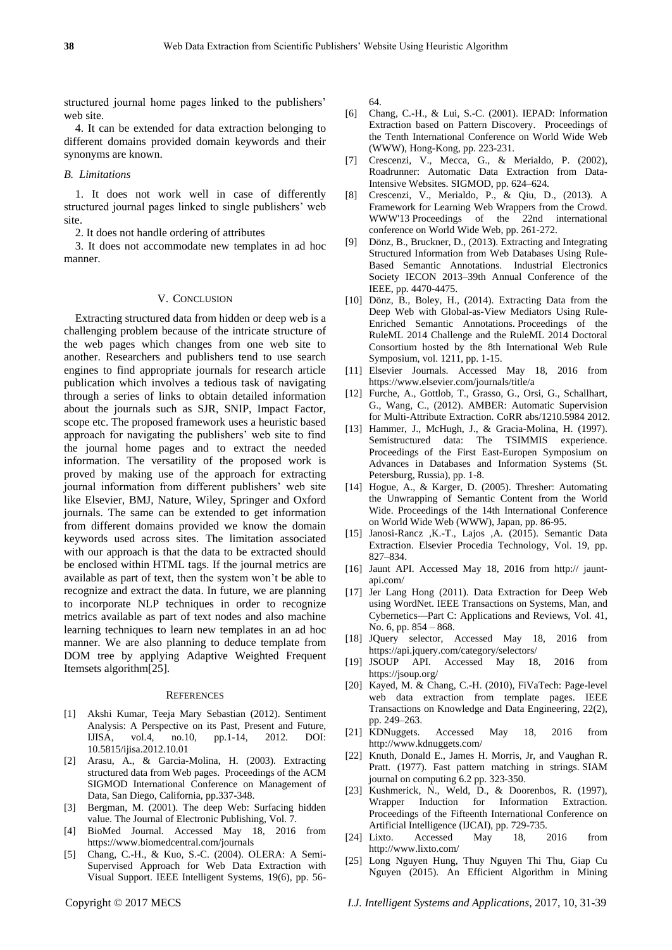structured journal home pages linked to the publishers' web site.

4. It can be extended for data extraction belonging to different domains provided domain keywords and their synonyms are known.

#### *B. Limitations*

1. It does not work well in case of differently structured journal pages linked to single publishers' web site.

2. It does not handle ordering of attributes

3. It does not accommodate new templates in ad hoc manner.

#### V. CONCLUSION

Extracting structured data from hidden or deep web is a challenging problem because of the intricate structure of the web pages which changes from one web site to another. Researchers and publishers tend to use search engines to find appropriate journals for research article publication which involves a tedious task of navigating through a series of links to obtain detailed information about the journals such as SJR, SNIP, Impact Factor, scope etc. The proposed framework uses a heuristic based approach for navigating the publishers' web site to find the journal home pages and to extract the needed information. The versatility of the proposed work is proved by making use of the approach for extracting journal information from different publishers' web site like Elsevier, BMJ, Nature, Wiley, Springer and Oxford journals. The same can be extended to get information from different domains provided we know the domain keywords used across sites. The limitation associated with our approach is that the data to be extracted should be enclosed within HTML tags. If the journal metrics are available as part of text, then the system won't be able to recognize and extract the data. In future, we are planning to incorporate NLP techniques in order to recognize metrics available as part of text nodes and also machine learning techniques to learn new templates in an ad hoc manner. We are also planning to deduce template from DOM tree by applying Adaptive Weighted Frequent Itemsets algorithm[25].

#### **REFERENCES**

- [1] Akshi Kumar, Teeja Mary Sebastian (2012). Sentiment Analysis: A Perspective on its Past, Present and Future, IJISA, vol.4, no.10, pp.1-14, 2012. DOI: 10.5815/ijisa.2012.10.01
- [2] Arasu, A., & Garcia-Molina, H. (2003). Extracting structured data from Web pages. Proceedings of the ACM SIGMOD International Conference on Management of Data, San Diego, California, pp.337-348.
- [3] Bergman, M. (2001). The deep Web: Surfacing hidden value. The Journal of Electronic Publishing, Vol. 7.
- [4] BioMed Journal. Accessed May 18, 2016 from https://www.biomedcentral.com/journals
- [5] Chang, C.-H., & Kuo, S.-C. (2004). OLERA: A Semi-Supervised Approach for Web Data Extraction with Visual Support. IEEE Intelligent Systems, 19(6), pp. 56-

64.

- [6] Chang, C.-H., & Lui, S.-C. (2001). IEPAD: Information Extraction based on Pattern Discovery. Proceedings of the Tenth International Conference on World Wide Web (WWW), Hong-Kong, pp. 223-231.
- [7] Crescenzi, V., Mecca, G., & Merialdo, P. (2002), Roadrunner: Automatic Data Extraction from Data-Intensive Websites. SIGMOD, pp. 624–624.
- [8] Crescenzi, V., Merialdo, P., & Qiu, D., (2013). A Framework for Learning Web Wrappers from the Crowd. [WWW'13](http://www2013.org/) Proceedings of the 22nd international conference on World Wide Web, pp. 261-272.
- [9] Dönz, B., Bruckner, D., (2013). Extracting and Integrating Structured Information from Web Databases Using Rule-Based Semantic Annotations. Industrial Electronics Society IECON 2013–39th Annual Conference of the IEEE, pp. 4470-4475.
- [10] Dönz, B., Boley, H., (2014). Extracting Data from the Deep Web with Global-as-View Mediators Using Rule-Enriched Semantic Annotations. Proceedings of the RuleML 2014 Challenge and the RuleML 2014 Doctoral Consortium hosted by the 8th International Web Rule Symposium, vol. 1211, pp. 1-15.
- [11] Elsevier Journals. Accessed May 18, 2016 from <https://www.elsevier.com/journals/title/a>
- [12] Furche, A., Gottlob, T., Grasso, G., Orsi, G., Schallhart, G., Wang, C., (2012). AMBER: Automatic Supervision for Multi-Attribute Extraction. CoRR abs/1210.5984 2012.
- [13] Hammer, J., McHugh, J., & Gracia-Molina, H. (1997). Semistructured data: The TSIMMIS experience. Proceedings of the First East-Europen Symposium on Advances in Databases and Information Systems (St. Petersburg, Russia), pp. 1-8.
- [14] Hogue, A., & Karger, D. (2005). Thresher: Automating the Unwrapping of Semantic Content from the World Wide. Proceedings of the 14th International Conference on World Wide Web (WWW), Japan, pp. 86-95.
- [15] Janosi-Rancz ,K.-T., Lajos ,A. (2015). Semantic Data Extraction. Elsevier Procedia Technology, Vol. 19, pp. 827–834.
- [16] Jaunt API. Accessed May 18, 2016 from http:// jauntapi.com/
- [17] Jer Lang Hong (2011). Data Extraction for Deep Web using WordNet. IEEE Transactions on Systems, Man, and Cybernetics—Part C: Applications and Reviews, Vol. 41, No. 6, pp. 854 – 868.
- [18] JQuery selector, Accessed May 18, 2016 from https://api.jquery.com/category/selectors/
- [19] JSOUP API. Accessed May 18, 2016 from <https://jsoup.org/>
- [20] Kayed, M. & Chang, C.-H. (2010), FiVaTech: Page-level web data extraction from template pages. IEEE Transactions on Knowledge and Data Engineering, 22(2), pp. 249–263.
- [21] KDNuggets. Accessed May 18, 2016 from <http://www.kdnuggets.com/>
- [22] Knuth, Donald E., James H. Morris, Jr, and Vaughan R. Pratt. (1977). Fast pattern matching in strings. SIAM journal on computing 6.2 pp. 323-350.
- [23] Kushmerick, N., Weld, D., & Doorenbos, R. (1997), Wrapper Induction for Information Extraction. Proceedings of the Fifteenth International Conference on Artificial Intelligence (IJCAI), pp. 729-735.
- [24] Lixto. Accessed May 18, 2016 from <http://www.lixto.com/>
- [25] Long Nguyen Hung, Thuy Nguyen Thi Thu, Giap Cu Nguyen (2015). An Efficient Algorithm in Mining